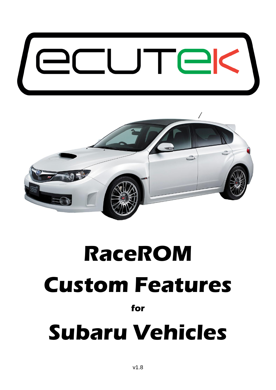



# **RaceROM Custom Features for Subaru Vehicles**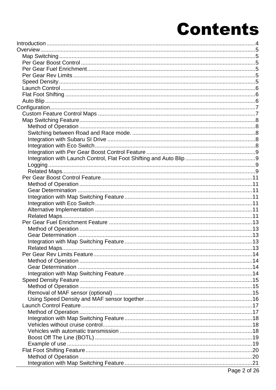## **Contents**

| $\overline{a}$ and $\overline{a}$ and $\overline{a}$ and $\overline{a}$ and $\overline{a}$ and $\overline{a}$ and $\overline{a}$ and $\overline{a}$ and $\overline{a}$ and $\overline{a}$ and $\overline{a}$ and $\overline{a}$ and $\overline{a}$ and $\overline{a}$ and $\overline{a}$ and $\overline{a}$ and $\overline{a}$ and |  |
|------------------------------------------------------------------------------------------------------------------------------------------------------------------------------------------------------------------------------------------------------------------------------------------------------------------------------------|--|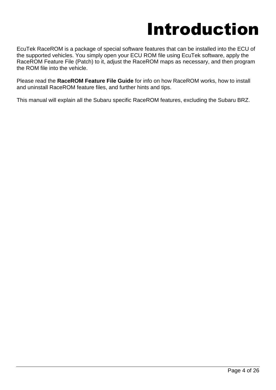## Introduction

<span id="page-3-0"></span>EcuTek RaceROM is a package of special software features that can be installed into the ECU of the supported vehicles. You simply open your ECU ROM file using EcuTek software, apply the RaceROM Feature File (Patch) to it, adjust the RaceROM maps as necessary, and then program the ROM file into the vehicle.

Please read the **RaceROM Feature File Guide** for info on how RaceROM works, how to install and uninstall RaceROM feature files, and further hints and tips.

This manual will explain all the Subaru specific RaceROM features, excluding the Subaru BRZ.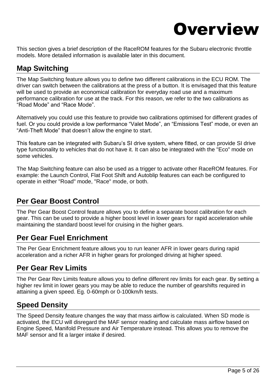

<span id="page-4-0"></span>This section gives a brief description of the RaceROM features for the Subaru electronic throttle models. More detailed information is available later in this document.

## <span id="page-4-1"></span>**Map Switching**

The Map Switching feature allows you to define two different calibrations in the ECU ROM. The driver can switch between the calibrations at the press of a button. It is envisaged that this feature will be used to provide an economical calibration for everyday road use and a maximum performance calibration for use at the track. For this reason, we refer to the two calibrations as "Road Mode" and "Race Mode".

Alternatively you could use this feature to provide two calibrations optimised for different grades of fuel. Or you could provide a low performance "Valet Mode", an "Emissions Test" mode, or even an "Anti-Theft Mode" that doesn't allow the engine to start.

This feature can be integrated with Subaru's SI drive system, where fitted, or can provide SI drive type functionality to vehicles that do not have it. It can also be integrated with the "Eco" mode on some vehicles.

The Map Switching feature can also be used as a trigger to activate other RaceROM features. For example: the Launch Control, Flat Foot Shift and Autoblip features can each be configured to operate in either "Road" mode, "Race" mode, or both.

## <span id="page-4-2"></span>**Per Gear Boost Control**

The Per Gear Boost Control feature allows you to define a separate boost calibration for each gear. This can be used to provide a higher boost level in lower gears for rapid acceleration while maintaining the standard boost level for cruising in the higher gears.

## <span id="page-4-3"></span>**Per Gear Fuel Enrichment**

The Per Gear Enrichment feature allows you to run leaner AFR in lower gears during rapid acceleration and a richer AFR in higher gears for prolonged driving at higher speed.

## <span id="page-4-4"></span>**Per Gear Rev Limits**

The Per Gear Rev Limits feature allows you to define different rev limits for each gear. By setting a higher rev limit in lower gears you may be able to reduce the number of gearshifts required in attaining a given speed. Eg. 0-60mph or 0-100km/h tests.

## <span id="page-4-5"></span>**Speed Density**

The Speed Density feature changes the way that mass airflow is calculated. When SD mode is activated, the ECU will disregard the MAF sensor reading and calculate mass airflow based on Engine Speed, Manifold Pressure and Air Temperature instead. This allows you to remove the MAF sensor and fit a larger intake if desired.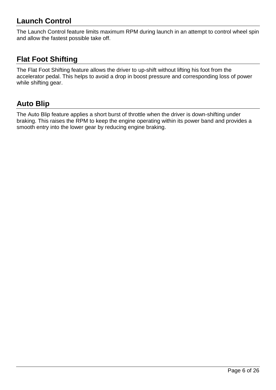## <span id="page-5-0"></span>**Launch Control**

The Launch Control feature limits maximum RPM during launch in an attempt to control wheel spin and allow the fastest possible take off.

## <span id="page-5-1"></span>**Flat Foot Shifting**

The Flat Foot Shifting feature allows the driver to up-shift without lifting his foot from the accelerator pedal. This helps to avoid a drop in boost pressure and corresponding loss of power while shifting gear.

## <span id="page-5-2"></span>**Auto Blip**

The Auto Blip feature applies a short burst of throttle when the driver is down-shifting under braking. This raises the RPM to keep the engine operating within its power band and provides a smooth entry into the lower gear by reducing engine braking.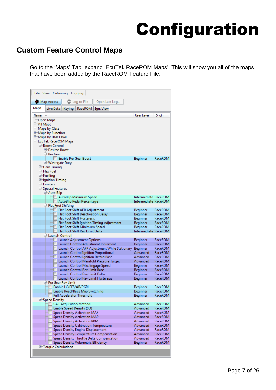## Configuration

## <span id="page-6-1"></span><span id="page-6-0"></span>**Custom Feature Control Maps**

Go to the 'Maps' Tab, expand 'EcuTek RaceROM Maps'. This will show you all of the maps that have been added by the RaceROM Feature File.

| File View Colouring Logging                     |                       |                                                                  |                                             |                                                |                             |                    |
|-------------------------------------------------|-----------------------|------------------------------------------------------------------|---------------------------------------------|------------------------------------------------|-----------------------------|--------------------|
| Map Access                                      |                       | C Log to File                                                    | Open Last Log                               |                                                |                             |                    |
| Maps<br>Live Data                               |                       | Keying   RaceROM                                                 | Ign. View                                   |                                                |                             |                    |
| Name                                            |                       |                                                                  |                                             |                                                | User Level                  | Origin             |
| -Open Maps<br>甲-All Maps                        |                       |                                                                  |                                             |                                                |                             |                    |
| <sup>+</sup> Maps by Class                      |                       |                                                                  |                                             |                                                |                             |                    |
| <sup>E</sup> Maps by Function                   |                       |                                                                  |                                             |                                                |                             |                    |
| 中 Maps by User Level                            |                       |                                                                  |                                             |                                                |                             |                    |
| E-EcuTek RaceROM Maps                           |                       |                                                                  |                                             |                                                |                             |                    |
| <b>E-Boost Control</b><br><b>IDesired Boost</b> |                       |                                                                  |                                             |                                                |                             |                    |
| ⊟−Per Gear                                      |                       |                                                                  |                                             |                                                |                             |                    |
|                                                 |                       | └─ Enable Per Gear Boost                                         |                                             |                                                | Beginner                    | RaceROM            |
| <b>Ether Wastegate Duty</b>                     |                       |                                                                  |                                             |                                                |                             |                    |
| 中 Cam Timing                                    |                       |                                                                  |                                             |                                                |                             |                    |
| <b>中 Flex Fuel</b>                              |                       |                                                                  |                                             |                                                |                             |                    |
| <b>中 Fuelling</b>                               |                       |                                                                  |                                             |                                                |                             |                    |
| ⊕ Ignition Timing<br><b>E</b> -Limiters         |                       |                                                                  |                                             |                                                |                             |                    |
| <b><sup>⇒</sup>Special Features</b>             |                       |                                                                  |                                             |                                                |                             |                    |
| <b>D</b> -Auto Blip                             |                       |                                                                  |                                             |                                                |                             |                    |
|                                                 |                       | AutoBlip Minimum Speed                                           |                                             |                                                | Intermediate RaceROM        |                    |
|                                                 |                       | AutoBlip Pedal Percentage                                        |                                             |                                                | Intermediate RaceROM        |                    |
| □ Flat Foot Shifting                            |                       |                                                                  |                                             |                                                |                             |                    |
|                                                 |                       | Flat Foot Shift AFR Adjustment                                   | Flat Foot Shift Deactivation Delay          |                                                | Beginner<br>Beginner        | RaceROM<br>RaceROM |
|                                                 |                       | Flat Foot Shift Hysteresis                                       |                                             |                                                | Beginner                    | RaceROM            |
|                                                 |                       |                                                                  | Flat Foot Shift Ignition Timing Adjustment  |                                                | <b>Beginner</b>             | RaceROM            |
|                                                 |                       | Flat Foot Shift Minimum Speed                                    |                                             |                                                | Beginner                    | RaceROM            |
|                                                 |                       | Flat Foot Shift Rev Limit Delta                                  |                                             |                                                | Intermediate RaceROM        |                    |
| <b>□ Launch Control</b>                         |                       |                                                                  |                                             |                                                |                             |                    |
|                                                 |                       | Launch Adjustment Options                                        | Launch Control Adjustment Increment         |                                                | Beginner<br>Beginner        | RaceROM<br>RaceROM |
|                                                 |                       |                                                                  |                                             | Launch Control AFR Adjustment While Stationary | Beginner                    | RaceROM            |
|                                                 |                       |                                                                  | <b>Launch Control Ignition Proportional</b> |                                                | Advanced                    | RaceROM            |
|                                                 |                       |                                                                  | Launch Control Ignition Retard Base         |                                                | Advanced                    | RaceROM            |
|                                                 |                       |                                                                  | Launch Control Manifold Pressure Target     |                                                | Advanced                    | RaceROM            |
|                                                 |                       |                                                                  | Launch Control Max Engage Speed             |                                                | Beginner                    | RaceROM            |
|                                                 |                       | Launch Control Rev Limit Base                                    |                                             |                                                | <b>Beginner</b>             | RaceROM            |
|                                                 |                       | Launch Control Rev Limit Delta                                   | Launch Control Rev Limit Hysteresis         |                                                | Beginner<br><b>Beginner</b> | RaceROM<br>RaceROM |
| <b>E-Per Gear Rev Limit</b>                     |                       |                                                                  |                                             |                                                |                             |                    |
|                                                 | Enable LC/FFS/AB/PGRL |                                                                  |                                             |                                                | Beginner                    | RaceROM            |
|                                                 |                       | Enable Road/Race Map Switching                                   |                                             |                                                | Beginner                    | RaceROM            |
|                                                 |                       | <b>Full Accelerator Threshold</b>                                |                                             |                                                | Beginner                    | RaceROM            |
| Speed Density                                   |                       |                                                                  |                                             |                                                |                             |                    |
|                                                 |                       | <b>CAT Acquisition Method</b>                                    |                                             |                                                | Advanced                    | RaceROM            |
|                                                 |                       | <b>Enable Speed Density (SD)</b><br>Speed Density Activation MAF |                                             |                                                | Advanced<br>Advanced        | RaceROM<br>RaceROM |
|                                                 |                       | <b>Speed Density Activation MAP</b>                              |                                             |                                                | Advanced                    | RaceROM            |
|                                                 |                       | Speed Density Activation RPM                                     |                                             |                                                | Advanced                    | RaceROM            |
|                                                 |                       |                                                                  | Speed Density Calibration Temperature       |                                                | Advanced                    | RaceROM            |
|                                                 |                       |                                                                  | <b>Speed Density Engine Displacement</b>    |                                                | Advanced                    | RaceROM            |
|                                                 |                       |                                                                  | Speed Density Temperature Compensation      |                                                | Advanced                    | RaceROM            |
|                                                 |                       |                                                                  | Speed Density Throttle Delta Compensation   |                                                | Advanced                    | RaceROM            |
| <b>E-Torque Calculations</b>                    |                       |                                                                  | Speed Density Volumetric Efficiency         |                                                | <b>Beginner</b>             | RaceROM            |
|                                                 |                       |                                                                  |                                             |                                                |                             |                    |
|                                                 |                       |                                                                  |                                             |                                                |                             |                    |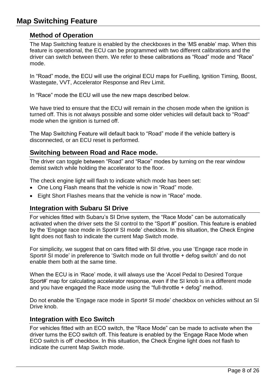## <span id="page-7-1"></span><span id="page-7-0"></span>**Map Switching Feature**

#### **Method of Operation**

The Map Switching feature is enabled by the checkboxes in the 'MS enable' map. When this feature is operational, the ECU can be programmed with two different calibrations and the driver can switch between them. We refer to these calibrations as "Road" mode and "Race" mode.

In "Road" mode, the ECU will use the original ECU maps for Fuelling, Ignition Timing, Boost, Wastegate, VVT, Accelerator Response and Rev Limit.

In "Race" mode the ECU will use the new maps described below.

We have tried to ensure that the ECU will remain in the chosen mode when the ignition is turned off. This is not always possible and some older vehicles will default back to "Road" mode when the ignition is turned off.

The Map Switching Feature will default back to "Road" mode if the vehicle battery is disconnected, or an ECU reset is performed.

#### <span id="page-7-2"></span>**Switching between Road and Race mode.**

The driver can toggle between "Road" and "Race" modes by turning on the rear window demist switch while holding the accelerator to the floor.

The check engine light will flash to indicate which mode has been set:

- One Long Flash means that the vehicle is now in "Road" mode.
- Eight Short Flashes means that the vehicle is now in "Race" mode.

#### <span id="page-7-3"></span>**Integration with Subaru SI Drive**

For vehicles fitted with Subaru's SI Drive system, the "Race Mode" can be automatically activated when the driver sets the SI control to the "Sport #" position. This feature is enabled by the 'Engage race mode in Sport# SI mode' checkbox. In this situation, the Check Engine light does not flash to indicate the current Map Switch mode.

For simplicity, we suggest that on cars fitted with SI drive, you use 'Engage race mode in Sport# SI mode' in preference to 'Switch mode on full throttle + defog switch' and do not enable them both at the same time.

When the ECU is in 'Race' mode, it will always use the 'Accel Pedal to Desired Torque Sport#' map for calculating accelerator response, even if the SI knob is in a different mode and you have engaged the Race mode using the "full-throttle + defog" method.

Do not enable the 'Engage race mode in Sport# SI mode' checkbox on vehicles without an SI Drive knob.

#### <span id="page-7-4"></span>**Integration with Eco Switch**

For vehicles fitted with an ECO switch, the "Race Mode" can be made to activate when the driver turns the ECO switch off. This feature is enabled by the 'Engage Race Mode when ECO switch is off' checkbox. In this situation, the Check Engine light does not flash to indicate the current Map Switch mode.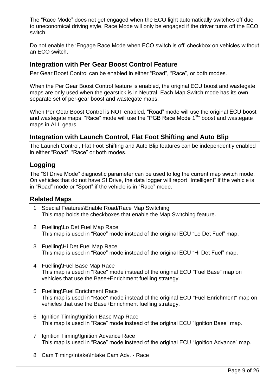The "Race Mode" does not get engaged when the ECO light automatically switches off due to uneconomical driving style. Race Mode will only be engaged if the driver turns off the ECO switch.

Do not enable the 'Engage Race Mode when ECO switch is off' checkbox on vehicles without an ECO switch.

#### <span id="page-8-0"></span>**Integration with Per Gear Boost Control Feature**

Per Gear Boost Control can be enabled in either "Road", "Race", or both modes.

When the Per Gear Boost Control feature is enabled, the original ECU boost and wastegate maps are only used when the gearstick is in Neutral. Each Map Switch mode has its own separate set of per-gear boost and wastegate maps.

When Per Gear Boost Control is NOT enabled, "Road" mode will use the original ECU boost and wastegate maps. "Race" mode will use the "PGB Race Mode 1<sup>st</sup>" boost and wastegate maps in ALL gears.

#### <span id="page-8-1"></span>**Integration with Launch Control, Flat Foot Shifting and Auto Blip**

The Launch Control, Flat Foot Shifting and Auto Blip features can be independently enabled in either "Road", "Race" or both modes.

#### <span id="page-8-2"></span>**Logging**

The "SI Drive Mode" diagnostic parameter can be used to log the current map switch mode. On vehicles that do not have SI Drive, the data logger will report "Intelligent" if the vehicle is in "Road" mode or "Sport" if the vehicle is in "Race" mode.

#### <span id="page-8-3"></span>**Related Maps**

- 1 Special Features\Enable Road/Race Map Switching This map holds the checkboxes that enable the Map Switching feature.
- 2 Fuelling\Lo Det Fuel Map Race This map is used in "Race" mode instead of the original ECU "Lo Det Fuel" map.
- 3 Fuelling\Hi Det Fuel Map Race This map is used in "Race" mode instead of the original ECU "Hi Det Fuel" map.
- 4 Fuelling\Fuel Base Map Race This map is used in "Race" mode instead of the original ECU "Fuel Base" map on vehicles that use the Base+Enrichment fuelling strategy.
- 5 Fuelling\Fuel Enrichment Race This map is used in "Race" mode instead of the original ECU "Fuel Enrichment" map on vehicles that use the Base+Enrichment fuelling strategy.
- 6 Ignition Timing\Ignition Base Map Race This map is used in "Race" mode instead of the original ECU "Ignition Base" map.
- 7 Ignition Timing\Ignition Advance Race This map is used in "Race" mode instead of the original ECU "Ignition Advance" map.
- 8 Cam Timing\Intake\Intake Cam Adv. Race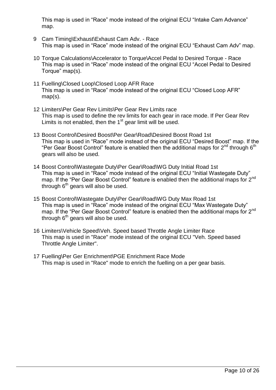This map is used in "Race" mode instead of the original ECU "Intake Cam Advance" map.

- 9 Cam Timing\Exhaust\Exhaust Cam Adv. Race This map is used in "Race" mode instead of the original ECU "Exhaust Cam Adv" map.
- 10 Torque Calculations\Accelerator to Torque\Accel Pedal to Desired Torque Race This map is used in "Race" mode instead of the original ECU "Accel Pedal to Desired Torque" map(s).
- 11 Fuelling\Closed Loop\Closed Loop AFR Race This map is used in "Race" mode instead of the original ECU "Closed Loop AFR" map(s).
- 12 Limiters\Per Gear Rev Limits\Per Gear Rev Limits race This map is used to define the rev limits for each gear in race mode. If Per Gear Rev Limits is not enabled, then the  $1<sup>st</sup>$  gear limit will be used.
- 13 Boost Control\Desired Boost\Per Gear\Road\Desired Boost Road 1st This map is used in "Race" mode instead of the original ECU "Desired Boost" map. If the "Per Gear Boost Control" feature is enabled then the additional maps for  $2^{nd}$  through  $6^{th}$ gears will also be used.
- 14 Boost Control\Wastegate Duty\Per Gear\Road\WG Duty Initial Road 1st This map is used in "Race" mode instead of the original ECU "Initial Wastegate Duty" map. If the "Per Gear Boost Control" feature is enabled then the additional maps for 2<sup>nd</sup> through  $6<sup>th</sup>$  gears will also be used.
- 15 Boost Control\Wastegate Duty\Per Gear\Road\WG Duty Max Road 1st This map is used in "Race" mode instead of the original ECU "Max Wastegate Duty" map. If the "Per Gear Boost Control" feature is enabled then the additional maps for 2<sup>nd</sup> through  $6<sup>th</sup>$  gears will also be used.
- 16 Limiters\Vehicle Speed\Veh. Speed based Throttle Angle Limiter Race This map is used in "Race" mode instead of the original ECU "Veh. Speed based Throttle Angle Limiter".
- 17 Fuelling\Per Ger Enrichment\PGE Enrichment Race Mode This map is used in "Race" mode to enrich the fuelling on a per gear basis.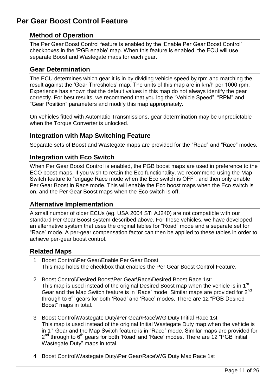#### <span id="page-10-1"></span><span id="page-10-0"></span>**Method of Operation**

The Per Gear Boost Control feature is enabled by the 'Enable Per Gear Boost Control' checkboxes in the 'PGB enable' map. When this feature is enabled, the ECU will use separate Boost and Wastegate maps for each gear.

#### <span id="page-10-2"></span>**Gear Determination**

The ECU determines which gear it is in by dividing vehicle speed by rpm and matching the result against the 'Gear Thresholds' map. The units of this map are in km/h per 1000 rpm. Experience has shown that the default values in this map do not always identify the gear correctly. For best results, we recommend that you log the "Vehicle Speed", "RPM" and "Gear Position" parameters and modify this map appropriately.

On vehicles fitted with Automatic Transmissions, gear determination may be unpredictable when the Torque Converter is unlocked.

#### <span id="page-10-3"></span>**Integration with Map Switching Feature**

Separate sets of Boost and Wastegate maps are provided for the "Road" and "Race" modes.

#### <span id="page-10-4"></span>**Integration with Eco Switch**

When Per Gear Boost Control is enabled, the PGB boost maps are used in preference to the ECO boost maps. If you wish to retain the Eco functionality, we recommend using the Map Switch feature to "engage Race mode when the Eco switch is OFF", and then only enable Per Gear Boost in Race mode. This will enable the Eco boost maps when the Eco switch is on, and the Per Gear Boost maps when the Eco switch is off.

#### <span id="page-10-5"></span>**Alternative Implementation**

A small number of older ECUs (eg. USA 2004 STi AJ240) are not compatible with our standard Per Gear Boost system described above. For these vehicles, we have developed an alternative system that uses the original tables for "Road" mode and a separate set for "Race" mode. A per-gear compensation factor can then be applied to these tables in order to achieve per-gear boost control.

#### <span id="page-10-6"></span>**Related Maps**

- 1 Boost Control\Per Gear\Enable Per Gear Boost This map holds the checkbox that enables the Per Gear Boost Control Feature.
- 2 Boost Control\Desired Boost\Per Gear\Race\Desired Boost Race 1st<sup>t</sup> This map is used instead of the original Desired Boost map when the vehicle is in 1<sup>st</sup> Gear and the Map Switch feature is in 'Race' mode. Similar maps are provided for 2<sup>nd</sup> through to  $6<sup>th</sup>$  gears for both 'Road' and 'Race' modes. There are 12 "PGB Desired Boost" maps in total.
- 3 Boost Control\Wastegate Duty\Per Gear\Race\WG Duty Initial Race 1st This map is used instead of the original Initial Wastegate Duty map when the vehicle is in  $1<sup>st</sup>$  Gear and the Map Switch feature is in "Race" mode. Similar maps are provided for 2<sup>nd</sup> through to 6<sup>th</sup> gears for both 'Road' and 'Race' modes. There are 12 "PGB Initial Wastegate Duty" maps in total.
- 4 Boost Control\Wastegate Duty\Per Gear\Race\WG Duty Max Race 1st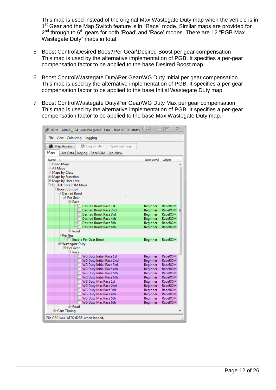This map is used instead of the original Max Wastegate Duty map when the vehicle is in 1<sup>st</sup> Gear and the Map Switch feature is in "Race" mode. Similar maps are provided for 2<sup>nd</sup> through to 6<sup>th</sup> gears for both 'Road' and 'Race' modes. There are 12 "PGB Max Wastegate Duty" maps in total.

- 5 Boost Control\Desired Boost\Per Gear\Desired Boost per gear compensation This map is used by the alternative implementation of PGB. It specifies a per-gear compensation factor to be applied to the base Desired Boost map.
- 6 Boost Control\Wastegate Duty\Per Gear\WG Duty Initial per gear compensation This map is used by the alternative implementation of PGB. It specifies a per-gear compensation factor to be applied to the base Initial Wastegate Duty map.
- 7 Boost Control\Wastegate Duty\Per Gear\WG Duty Max per gear compensation This map is used by the alternative implementation of PGB. It specifies a per-gear compensation factor to be applied to the base Max Wastegate Duty map.

| ROM - AR490_3341-enc.bin (ar490 3341 - JDM STI 2010MY)      | <b>III</b><br>$\Box$ | 回                  | $\Sigma$ |
|-------------------------------------------------------------|----------------------|--------------------|----------|
| File View Colouring Logging                                 |                      |                    |          |
| C Log to File<br>Map Access<br>Open Last Log                |                      |                    |          |
| Maps<br>Live Data<br>Keying   RaceROM  <br>Ign. View        |                      |                    |          |
| Name                                                        | User Level Origin    |                    |          |
| Open Maps                                                   |                      |                    |          |
| 中 All Maps                                                  |                      |                    |          |
| 中 Maps by Class                                             |                      |                    |          |
| 电 Maps by Function                                          |                      |                    |          |
| <sup>[]-</sup> Maps by User Level                           |                      |                    |          |
| E-EcuTek RaceROM Maps                                       |                      |                    |          |
| <b>□ Boost Control</b><br><b>Desired Boost</b>              |                      |                    |          |
| <b>□ Per Gear</b>                                           |                      |                    |          |
| <b>□ Race</b>                                               |                      |                    |          |
| <b>Desired Boost Race 1st</b>                               | Beginner             | RaceROM            |          |
| Desired Boost Race 2nd                                      | Beginner             | <b>RaceROM</b>     | Ξ        |
| Desired Boost Race 3rd                                      | Beginner             | RaceROM            |          |
| Desired Boost Race 4th                                      | Beginner             | RaceROM            |          |
| Desired Boost Race 5th                                      | Beginner             | RaceROM            |          |
| Desired Boost Race 6th                                      | Beginner             | RaceROM            |          |
| <b>E</b> -Road                                              |                      |                    |          |
| <del>ि </del> Per Gear                                      |                      |                    |          |
| Enable Per Gear Boost                                       | Beginner             | RaceROM            |          |
| <sup>-</sup> Wastegate Duty                                 |                      |                    |          |
| <b>□ Per Gear</b>                                           |                      |                    |          |
| <b>□ Race</b>                                               |                      |                    |          |
| <b>WG Duty Initial Race 1st</b><br>WG Duty Initial Race 2nd | Beginner<br>Beginner | RaceROM<br>RaceROM |          |
| <b>WG Duty Initial Race 3rd</b>                             | Beginner             | RaceROM            |          |
| WG Duty Initial Race 4th                                    | Beginner             | <b>RaceROM</b>     |          |
| WG Duty Initial Race 5th                                    | Beginner             | RaceROM            |          |
| WG Duty Initial Race 6th                                    | Beginner             | RaceROM            |          |
| WG Duty Max Race 1st                                        | Beginner             | RaceROM            |          |
| WG Duty Max Race 2nd                                        | Beginner             | RaceROM            |          |
| WG Duty Max Race 3rd                                        | Beginner             | RaceROM            |          |
| WG Duty Max Race 4th                                        | Beginner             | RaceROM            |          |
| WG Duty Max Race 5th                                        | Beginner             | <b>RaceROM</b>     |          |
| WG Duty Max Race 6th                                        | Beginner             | RaceROM            |          |
| <b>E</b> -Road                                              |                      |                    |          |
| <b>中Cam Timing</b>                                          |                      |                    |          |
| File CRC was 'AFD2 62B5' when loaded.                       |                      |                    |          |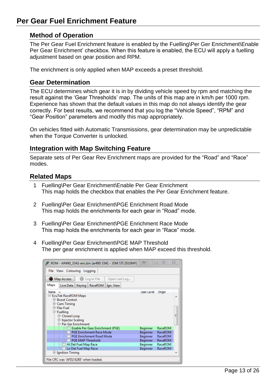## <span id="page-12-1"></span><span id="page-12-0"></span>**Per Gear Fuel Enrichment Feature**

#### **Method of Operation**

The Per Gear Fuel Enrichment feature is enabled by the Fuelling\Per Ger Enrichment\Enable Per Gear Enrichment' checkbox. When this feature is enabled, the ECU will apply a fuelling adjustment based on gear position and RPM.

The enrichment is only applied when MAP exceeds a preset threshold.

#### <span id="page-12-2"></span>**Gear Determination**

The ECU determines which gear it is in by dividing vehicle speed by rpm and matching the result against the 'Gear Thresholds' map. The units of this map are in km/h per 1000 rpm. Experience has shown that the default values in this map do not always identify the gear correctly. For best results, we recommend that you log the "Vehicle Speed", "RPM" and "Gear Position" parameters and modify this map appropriately.

On vehicles fitted with Automatic Transmissions, gear determination may be unpredictable when the Torque Converter is unlocked.

#### <span id="page-12-3"></span>**Integration with Map Switching Feature**

Separate sets of Per Gear Rev Enrichment maps are provided for the "Road" and "Race" modes.

#### <span id="page-12-4"></span>**Related Maps**

- 1 Fuelling\Per Gear Enrichment\Enable Per Gear Enrichment This map holds the checkbox that enables the Per Gear Enrichment feature.
- 2 Fuelling\Per Gear Enrichment\PGE Enrichment Road Mode This map holds the enrichments for each gear in "Road" mode.
- 3 Fuelling\Per Gear Enrichment\PGE Enrichment Race Mode This map holds the enrichments for each gear in "Race" mode.
- 4 Fuelling\Per Gear Enrichment\PGE MAP Threshold The per gear enrichment is applied when MAP exceed this threshold.

| ROM - AR490_3341-enc.bin (ar490 3341 - JDM STI 2010MY) | œ          | ▣       | x |  |  |  |  |  |  |  |
|--------------------------------------------------------|------------|---------|---|--|--|--|--|--|--|--|
| File View Colouring Logging                            |            |         |   |  |  |  |  |  |  |  |
| Map Access<br>C Log to File<br>Open Last Log           |            |         |   |  |  |  |  |  |  |  |
| Maps<br>Keying   RaceROM  <br>Live Data<br>Ign. View   |            |         |   |  |  |  |  |  |  |  |
| Name                                                   | User Level | Origin  |   |  |  |  |  |  |  |  |
| <b>E-EcuTek RaceROM Maps</b>                           |            |         |   |  |  |  |  |  |  |  |
| <b>E-Boost Control</b>                                 |            |         |   |  |  |  |  |  |  |  |
| 甲 Cam Timing                                           |            |         |   |  |  |  |  |  |  |  |
| 田 Flex Fuel<br><b>中 Fuelling</b>                       |            |         |   |  |  |  |  |  |  |  |
| <b>E-Closed Loop</b>                                   |            |         | Ξ |  |  |  |  |  |  |  |
| ⊕ Injector Scaling                                     |            |         |   |  |  |  |  |  |  |  |
| □ Per Ger Enrichment                                   |            |         |   |  |  |  |  |  |  |  |
| Enable Per Gear Enrichment (PGE)                       | Beginner   | RaceROM |   |  |  |  |  |  |  |  |
| <b>PGE Enrichment Race Mode</b>                        | Beginner   | RaceROM |   |  |  |  |  |  |  |  |
| <b>PGE Enrichment Road Mode</b>                        | Beginner   | RaceROM |   |  |  |  |  |  |  |  |
| Beginner<br><b>PGE MAP Threshold</b><br>RaceROM        |            |         |   |  |  |  |  |  |  |  |
| RaceROM<br>Hi Det Fuel Map Race<br>Beginner            |            |         |   |  |  |  |  |  |  |  |
| Lo Det Fuel Map Race<br>Beginner<br>RaceROM            |            |         |   |  |  |  |  |  |  |  |
| ⊕ Ignition Timing                                      |            |         |   |  |  |  |  |  |  |  |
| File CRC was 'AFD2 62B5' when loaded.                  |            |         |   |  |  |  |  |  |  |  |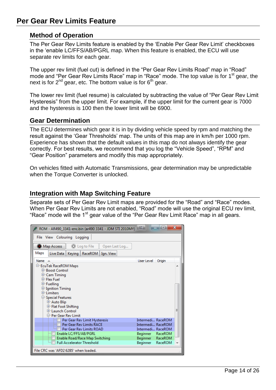## <span id="page-13-1"></span><span id="page-13-0"></span>**Per Gear Rev Limits Feature**

#### **Method of Operation**

The Per Gear Rev Limits feature is enabled by the 'Enable Per Gear Rev Limit' checkboxes in the 'enable LC/FFS/AB/PGRL map. When this feature is enabled, the ECU will use separate rev limits for each gear.

The upper rev limit (fuel cut) is defined in the "Per Gear Rev Limits Road" map in "Road" mode and "Per Gear Rev Limits Race" map in "Race" mode. The top value is for 1<sup>st</sup> gear, the next is for  $2^{nd}$  gear, etc. The bottom value is for  $6^{th}$  gear.

The lower rev limit (fuel resume) is calculated by subtracting the value of "Per Gear Rev Limit Hysteresis" from the upper limit. For example, if the upper limit for the current gear is 7000 and the hysteresis is 100 then the lower limit will be 6900.

#### <span id="page-13-2"></span>**Gear Determination**

The ECU determines which gear it is in by dividing vehicle speed by rpm and matching the result against the 'Gear Thresholds' map. The units of this map are in km/h per 1000 rpm. Experience has shown that the default values in this map do not always identify the gear correctly. For best results, we recommend that you log the "Vehicle Speed", "RPM" and "Gear Position" parameters and modify this map appropriately.

On vehicles fitted with Automatic Transmissions, gear determination may be unpredictable when the Torque Converter is unlocked.

#### <span id="page-13-3"></span>**Integration with Map Switching Feature**

Separate sets of Per Gear Rev Limit maps are provided for the "Road" and "Race" modes. When Per Gear Rev Limits are not enabled, "Road" mode will use the original ECU rev limit, "Race" mode will the 1<sup>st</sup> gear value of the "Per Gear Rev Limit Race" map in all gears.

| ROM - AR490_3341-enc.bin (ar490 3341 - JDM STI 2010MY)              | me,               | ▣      | $\overline{\mathbf{x}}$ |
|---------------------------------------------------------------------|-------------------|--------|-------------------------|
| File View Colouring Logging                                         |                   |        |                         |
| C Log to File<br>Map Access<br>Open Last Log                        |                   |        |                         |
| Maps<br>Live Data   Keying   RaceROM  <br>Ign. View                 |                   |        |                         |
| Name                                                                | User Level        | Origin |                         |
| <sup>-</sup> EcuTek RaceROM Maps                                    |                   |        |                         |
| <b>E-Boost Control</b>                                              |                   |        |                         |
| 甲 Cam Timing                                                        |                   |        |                         |
| 田 Flex Fuel                                                         |                   |        |                         |
| <b>中 Fuelling</b>                                                   |                   |        |                         |
| ⊕ Ignition Timing<br><b>E</b> -Limiters                             |                   |        |                         |
| □ Special Features                                                  |                   |        |                         |
| <b>中 Auto Blip</b>                                                  |                   |        |                         |
| 中 Flat Foot Shifting                                                |                   |        |                         |
| <b>E-Launch Control</b>                                             |                   |        |                         |
| <b>E-Per Gear Rev Limit</b>                                         |                   |        |                         |
| Per Gear Rev Limit Hysteresis                                       | Intermedi RaceROM |        |                         |
| Per Gear Rev Limits RACE                                            | Intermedi RaceROM |        |                         |
| Per Gear Rev Limits ROAD                                            | Intermedi RaceROM |        |                         |
| Enable LC/FFS/AB/PGRL                                               | Beginner RaceROM  |        |                         |
| Enable Road/Race Map Switching<br><b>Full Accelerator Threshold</b> | Beginner RaceROM  |        |                         |
|                                                                     | Beginner RaceROM  |        |                         |
| File CRC was 'AFD2 62B5' when loaded.                               |                   |        |                         |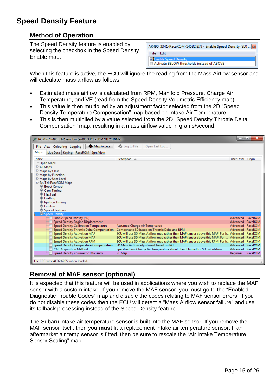## <span id="page-14-1"></span><span id="page-14-0"></span>**Speed Density Feature**

#### **Method of Operation**

The Speed Density feature is enabled by selecting the checkbox in the Speed Density Enable map.

| AR490_3341-RaceROM-14582.BIN - Enable Speed Density (SD)    8 |  |
|---------------------------------------------------------------|--|
| Fdit                                                          |  |
| hable Speed Density                                           |  |
| Activate BELOW thresholds instead of ABOVE                    |  |

When this feature is active, the ECU will ignore the reading from the Mass Airflow sensor and will calculate mass airflow as follows:

- Estimated mass airflow is calculated from RPM, Manifold Pressure, Charge Air Temperature, and VE (read from the Speed Density Volumetric Efficiency map)
- This value is then multiplied by an adjustment factor selected from the 2D "Speed Density Temperature Compensation" map based on Intake Air Temperature.
- This is then multiplied by a value selected from the 2D "Speed Density Throttle Delta Compensation" map, resulting in a mass airflow value in grams/second.



### <span id="page-14-2"></span>**Removal of MAF sensor (optional)**

It is expected that this feature will be used in applications where you wish to replace the MAF sensor with a custom intake. If you remove the MAF sensor, you must go to the "Enabled Diagnostic Trouble Codes" map and disable the codes relating to MAF sensor errors. If you do not disable these codes then the ECU will detect a "Mass Airflow sensor failure" and use its fallback processing instead of the Speed Density feature.

The Subaru intake air temperature sensor is built into the MAF sensor. If you remove the MAF sensor itself, then you **must** fit a replacement intake air temperature sensor. If an aftermarket air temp sensor is fitted, then be sure to rescale the "Air Intake Temperature Sensor Scaling" map.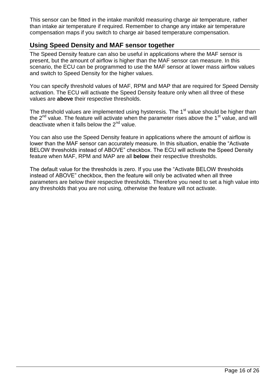This sensor can be fitted in the intake manifold measuring charge air temperature, rather than intake air temperature if required. Remember to change any intake air temperature compensation maps if you switch to charge air based temperature compensation.

#### <span id="page-15-0"></span>**Using Speed Density and MAF sensor together**

The Speed Density feature can also be useful in applications where the MAF sensor is present, but the amount of airflow is higher than the MAF sensor can measure. In this scenario, the ECU can be programmed to use the MAF sensor at lower mass airflow values and switch to Speed Density for the higher values.

You can specify threshold values of MAF, RPM and MAP that are required for Speed Density activation. The ECU will activate the Speed Density feature only when all three of these values are **above** their respective thresholds.

The threshold values are implemented using hysteresis. The 1<sup>st</sup> value should be higher than the  $2<sup>nd</sup>$  value. The feature will activate when the parameter rises above the 1<sup>st</sup> value, and will deactivate when it falls below the  $2<sup>nd</sup>$  value.

You can also use the Speed Density feature in applications where the amount of airflow is lower than the MAF sensor can accurately measure. In this situation, enable the "Activate BELOW thresholds instead of ABOVE" checkbox. The ECU will activate the Speed Density feature when MAF, RPM and MAP are all **below** their respective thresholds.

The default value for the thresholds is zero. If you use the "Activate BELOW thresholds instead of ABOVE" checkbox, then the feature will only be activated when all three parameters are below their respective thresholds. Therefore you need to set a high value into any thresholds that you are not using, otherwise the feature will not activate.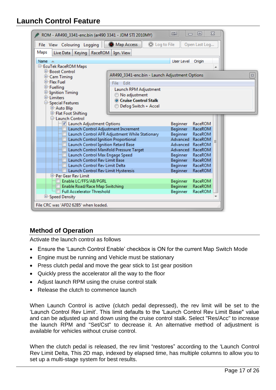## <span id="page-16-0"></span>**Launch Control Feature**

| X<br>回<br><b>III</b><br>▭<br>ROM - AR490_3341-enc.bin (ar490 3341 - JDM STI 2010MY) |                                                |                 |                                      |  |                    |  |  |  |  |  |  |
|-------------------------------------------------------------------------------------|------------------------------------------------|-----------------|--------------------------------------|--|--------------------|--|--|--|--|--|--|
| File View Colouring Logging                                                         | Map Access<br>C Log to File                    |                 | Open Last Log                        |  |                    |  |  |  |  |  |  |
| Maps<br>Live Data   Keying  <br>RaceROM<br>Ign. View                                |                                                |                 |                                      |  |                    |  |  |  |  |  |  |
| User Level<br>Origin<br>Name $\triangle$                                            |                                                |                 |                                      |  |                    |  |  |  |  |  |  |
| E-EcuTek RaceROM Maps                                                               |                                                |                 |                                      |  |                    |  |  |  |  |  |  |
| <b>E-Boost Control</b>                                                              |                                                |                 |                                      |  |                    |  |  |  |  |  |  |
| 中 Cam Timing                                                                        | AR490_3341-enc.bin - Launch Adjustment Options |                 |                                      |  | $\boldsymbol{\Xi}$ |  |  |  |  |  |  |
| E-Flex Fuel                                                                         | File Edit                                      |                 |                                      |  |                    |  |  |  |  |  |  |
| <b>中 Fuelling</b>                                                                   | Launch RPM Adjustment                          |                 |                                      |  |                    |  |  |  |  |  |  |
| <b>⊕ Ignition Timing</b><br><b>E</b> -Limiters                                      | No adjustment                                  |                 |                                      |  |                    |  |  |  |  |  |  |
| <b>□ Special Features</b>                                                           | Cruise Control Stalk                           |                 |                                      |  |                    |  |  |  |  |  |  |
| <b>中 Auto Blip</b>                                                                  | Defog Switch + Accel                           |                 |                                      |  |                    |  |  |  |  |  |  |
| 中 Flat Foot Shifting                                                                |                                                |                 |                                      |  |                    |  |  |  |  |  |  |
| □ Launch Control                                                                    |                                                |                 |                                      |  |                    |  |  |  |  |  |  |
| I Launch Adjustment Options                                                         |                                                | <b>Beginner</b> | RaceROM                              |  |                    |  |  |  |  |  |  |
| Launch Control Adjustment Increment                                                 |                                                | Beginner        | <b>RaceROM</b>                       |  |                    |  |  |  |  |  |  |
|                                                                                     | Launch Control AFR Adjustment While Stationary | Beginner        | <b>RaceROM</b>                       |  |                    |  |  |  |  |  |  |
| Launch Control Ignition Proportional<br>Launch Control Ignition Retard Base         |                                                |                 | Advanced RaceROM<br>Advanced RaceROM |  |                    |  |  |  |  |  |  |
| Launch Control Manifold Pressure Target                                             |                                                |                 | Advanced RaceROM                     |  |                    |  |  |  |  |  |  |
| Launch Control Max Engage Speed                                                     |                                                | Beginner        | RaceROM                              |  |                    |  |  |  |  |  |  |
| Launch Control Rev Limit Base                                                       |                                                | <b>Beginner</b> | RaceROM                              |  |                    |  |  |  |  |  |  |
| Launch Control Rev Limit Delta                                                      |                                                | Beginner        | RaceROM                              |  |                    |  |  |  |  |  |  |
| Launch Control Rev Limit Hysteresis                                                 | RaceROM                                        |                 |                                      |  |                    |  |  |  |  |  |  |
| <b>E-Per Gear Rev Limit</b>                                                         |                                                |                 |                                      |  |                    |  |  |  |  |  |  |
| Enable LC/FFS/AB/PGRL                                                               | <b>Beginner</b>                                | RaceROM         |                                      |  |                    |  |  |  |  |  |  |
| Enable Road/Race Map Switching                                                      | <b>Beginner</b>                                | RaceROM         |                                      |  |                    |  |  |  |  |  |  |
| <b>Full Accelerator Threshold</b>                                                   |                                                | <b>Beginner</b> | RaceROM                              |  |                    |  |  |  |  |  |  |
| <b>E-Speed Density</b>                                                              |                                                |                 |                                      |  |                    |  |  |  |  |  |  |
| File CRC was 'AFD2 62B5' when loaded.                                               |                                                |                 |                                      |  |                    |  |  |  |  |  |  |
|                                                                                     |                                                |                 |                                      |  |                    |  |  |  |  |  |  |

### <span id="page-16-1"></span>**Method of Operation**

Activate the launch control as follows

- Ensure the 'Launch Control Enable' checkbox is ON for the current Map Switch Mode
- Engine must be running and Vehicle must be stationary
- Press clutch pedal and move the gear stick to 1st gear position
- Quickly press the accelerator all the way to the floor
- Adjust launch RPM using the cruise control stalk
- Release the clutch to commence launch

When Launch Control is active (clutch pedal depressed), the rev limit will be set to the 'Launch Control Rev Limit'. This limit defaults to the 'Launch Control Rev Limit Base" value and can be adjusted up and down using the cruise control stalk. Select "Res/Acc" to increase the launch RPM and "Set/Cst" to decrease it. An alternative method of adjustment is available for vehicles without cruise control.

When the clutch pedal is released, the rev limit "restores" according to the 'Launch Control Rev Limit Delta, This 2D map, indexed by elapsed time, has multiple columns to allow you to set up a multi-stage system for best results.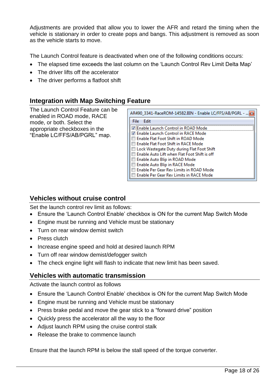Adjustments are provided that allow you to lower the AFR and retard the timing when the vehicle is stationary in order to create pops and bangs. This adjustment is removed as soon as the vehicle starts to move.

The Launch Control feature is deactivated when one of the following conditions occurs:

- The elapsed time exceeds the last column on the 'Launch Control Rev Limit Delta Map'
- The driver lifts off the accelerator
- The driver performs a flatfoot shift

#### <span id="page-17-0"></span>**Integration with Map Switching Feature**

The Launch Control Feature can be enabled in ROAD mode, RACE mode, or both. Select the appropriate checkboxes in the "Enable LC/FFS/AB/PGRL" map.

| AR490_3341-RaceROM-14582.BIN - Enable LC/FFS/AB/PGRL -  3 |  |  |  |  |  |  |
|-----------------------------------------------------------|--|--|--|--|--|--|
| File<br>Edit                                              |  |  |  |  |  |  |
| √ Enable Launch Control in ROAD Mode                      |  |  |  |  |  |  |
| √ Enable Launch Control in RACE Mode                      |  |  |  |  |  |  |
| l Enable Flat Foot Shift in ROAD Mode                     |  |  |  |  |  |  |
| <b>Enable Flat Foot Shift in RACE Mode</b>                |  |  |  |  |  |  |
| Lock Wastegate Duty during Flat Foot Shift                |  |  |  |  |  |  |
| <b>Enable Auto Lift when Flat Foot Shift is off</b>       |  |  |  |  |  |  |
| □ Enable Auto Blip in ROAD Mode                           |  |  |  |  |  |  |
| Enable Auto Blip in RACE Mode                             |  |  |  |  |  |  |
| Enable Per Gear Rev Limits in ROAD Mode                   |  |  |  |  |  |  |
| Enable Per Gear Rev Limits in RACE Mode                   |  |  |  |  |  |  |

#### <span id="page-17-1"></span>**Vehicles without cruise control**

Set the launch control rev limit as follows:

- Ensure the 'Launch Control Enable' checkbox is ON for the current Map Switch Mode
- Engine must be running and Vehicle must be stationary
- Turn on rear window demist switch
- Press clutch
- Increase engine speed and hold at desired launch RPM
- Turn off rear window demist/defogger switch
- The check engine light will flash to indicate that new limit has been saved.

#### <span id="page-17-2"></span>**Vehicles with automatic transmission**

Activate the launch control as follows

- Ensure the 'Launch Control Enable' checkbox is ON for the current Map Switch Mode
- Engine must be running and Vehicle must be stationary
- Press brake pedal and move the gear stick to a "forward drive" position
- Quickly press the accelerator all the way to the floor
- Adjust launch RPM using the cruise control stalk
- Release the brake to commence launch

Ensure that the launch RPM is below the stall speed of the torque converter.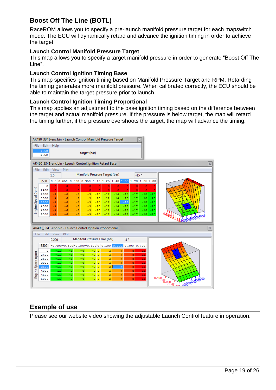### <span id="page-18-0"></span>**Boost Off The Line (BOTL)**

RaceROM allows you to specify a pre-launch manifold pressure target for each mapswitch mode. The ECU will dynamically retard and advance the ignition timing in order to achieve the target.

#### **Launch Control Manifold Pressure Target**

This map allows you to specify a target manifold pressure in order to generate "Boost Off The Line".

#### **Launch Control Ignition Timing Base**

This map specifies ignition timing based on Manifold Pressure Target and RPM. Retarding the timing generates more manifold pressure. When calibrated correctly, the ECU should be able to maintain the target pressure prior to launch.

#### **Launch Control Ignition Timing Proportional**

This map applies an adjustment to the base ignition timing based on the difference between the target and actual manifold pressure. If the pressure is below target, the map will retard the timing further, if the pressure overshoots the target, the map will advance the timing.

|                    |                                                                   |                |                 |                | AR490_3341-enc.bin - Launch Control Manifold Pressure Target |                  |                |                |                        |                | $\boldsymbol{\Xi}$ |                |                    |
|--------------------|-------------------------------------------------------------------|----------------|-----------------|----------------|--------------------------------------------------------------|------------------|----------------|----------------|------------------------|----------------|--------------------|----------------|--------------------|
|                    | File Edit<br>Help<br>1.60<br>target (bar)<br>1.60                 |                |                 |                |                                                              |                  |                |                |                        |                |                    |                |                    |
|                    | AR490_3341-enc.bin - Launch Control Ignition Retard Base<br>$\Xi$ |                |                 |                |                                                              |                  |                |                |                        |                |                    |                |                    |
| File               |                                                                   | Edit View      | Plot            |                |                                                              |                  |                |                |                        |                |                    |                |                    |
|                    |                                                                   | 1.5            |                 |                | Manifold Pressure Target (bar)                               |                  |                |                |                        |                | $-15°$             |                |                    |
|                    | 3500                                                              | 0.5            | $0.650$ $0.800$ |                | 0.950 1.10 1.25 1.40 1.55 1.70 1.85 2.00                     |                  |                |                |                        |                |                    |                |                    |
|                    | ٥                                                                 | o              | ٥               | o              | ٥                                                            | ٥                |                | o              | ٥                      | $\bullet$      | ٥                  |                |                    |
| Engine Speed (rpm) | 2400                                                              | $\mathbf 0$    | ö               | $\overline{0}$ | ö                                                            | ö                |                |                | ō                      | ō              | ō                  |                |                    |
|                    | 2500                                                              | $-4$           | $-6$            | $-7$           | -9                                                           | $-10$            | $-12$          | $-14$          | $-15$                  | $-17$          | $-18$              | $-20$          |                    |
|                    | 3000<br>3500                                                      | $-4$<br>$-4$   | -6<br>$-6$      | $-7$<br>$-7$   | -9<br>-9                                                     | $-10$<br>$-10$   | $-12$<br>$-12$ | $-14$<br>$-14$ | $-15$<br>$-15$         | $-17$<br>$-17$ | $-18$<br>$-18$     | $-20$<br>$-20$ |                    |
|                    | 4000                                                              | $-4$           | $-6$            | $-7$           | $-9$                                                         | $-10$            | $-12$          | $-14$          | $-15$                  | $-17$          | $-18$              | $-20$          |                    |
|                    | 4500                                                              | $-4$           | $-6$            | $-7$           | $-9$                                                         | $-10$            | $-12$          | $-14$          | $-15$                  | $-17$          | $-18$              | $-20$          |                    |
|                    | 5000                                                              | $-4$           | $-6$            | $-7$           | $-9$                                                         | $-10$            | $-12$          | $-14$          | $-15$                  | $-17$          | $-18$              | $-20$          |                    |
|                    |                                                                   |                |                 |                |                                                              |                  |                |                |                        |                |                    |                |                    |
|                    |                                                                   |                |                 |                | AR490_3341-enc.bin - Launch Control Ignition Proportional    |                  |                |                |                        |                |                    |                | $\boldsymbol{\Xi}$ |
|                    | Edit<br>File                                                      | <b>View</b>    | Plot            |                |                                                              |                  |                |                |                        |                |                    |                |                    |
|                    |                                                                   | 0.200          |                 |                | Manifold Pressure Error (bar)                                |                  |                |                | $\mathbf{A}$ $\bullet$ |                |                    |                |                    |
|                    | 3500                                                              |                |                 |                | $-0.400 - 0.300 - 0.200 - 0.100$ 0 0.100 0.200               |                  |                |                |                        | 0.300 0.400    |                    |                |                    |
|                    | ٥                                                                 | $-11$          |                 | -8             | $-4$                                                         | $-2$<br>$\circ$  | 2              |                | 4                      | 8              | 11                 |                |                    |
| Engine Speed (rpm) | 2400                                                              | $-11$          |                 | -8             | $-4$                                                         | $-2$<br>$\circ$  | 2              |                | 4                      | 8              | 11                 |                |                    |
|                    | 2500                                                              | $-11$          |                 | $-8$           | $-4$                                                         | $-2$<br>$\circ$  | 2              |                | 4                      | 8              | $\overline{11}$    |                |                    |
|                    | 3000                                                              | $-11$          |                 | -8             | $-4$                                                         | $\circ$<br>$-2$  | 2              |                | 4                      | 8              | $\overline{11}$    |                |                    |
|                    | 3500                                                              | $-11$          |                 | $-8$           | $-4$                                                         | $\circ$<br>$-2$  | ż              |                | $\overline{4}$         | 8              | $\overline{11}$    |                |                    |
|                    | 4000<br>4500                                                      | $-11$<br>$-11$ |                 | $-8$<br>$-8$   | $-4$<br>$-4$                                                 | $-2$ 0<br>$-2$ 0 | 2<br>2         |                | 4<br>4                 | 8<br>8         | 11                 |                |                    |
|                    | 5000                                                              | $-11$          |                 | $-8$           | $-4$                                                         | $-2$ 0           | ż.             |                | 4                      | $\overline{8}$ | $\frac{11}{11}$    |                |                    |
|                    |                                                                   |                |                 |                |                                                              |                  |                |                |                        |                |                    |                | 0.400200000200101  |

#### <span id="page-18-1"></span>**Example of use**

Please see our website video showing the adjustable Launch Control feature in operation.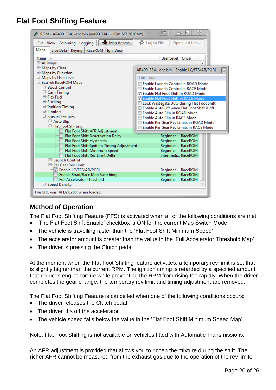## <span id="page-19-0"></span>**Flat Foot Shifting Feature**

| ROM - AR490_3341-enc.bin (ar490 3341 - JDM STI 2010MY)                      | $\Sigma$<br>回<br><b>III</b>                                    |
|-----------------------------------------------------------------------------|----------------------------------------------------------------|
| Map Access<br>File View Colouring Logging                                   | C Log to File<br>Open Last Log                                 |
| Maps<br>Live Data<br>Keying   RaceROM  <br>Ign. View                        |                                                                |
| <b>Name</b>                                                                 | User Level<br>Origin                                           |
| <b>中All Maps</b>                                                            |                                                                |
| 中 Maps by Class<br>中 Maps by Function                                       | AR490_3341-enc.bin - Enable LC/FFS/AB/PGRL<br>$\boxtimes$      |
| 中 Maps by User Level                                                        | File Edit                                                      |
| E-EcuTek RaceROM Maps                                                       | Enable Launch Control in ROAD Mode                             |
| E-Boost Control                                                             | Enable Launch Control in RACE Mode                             |
| <b>E</b> -Cam Timing                                                        | 7 Enable Flat Foot Shift in ROAD Mode                          |
| <b>E</b> -Flex Fuel                                                         | Z Enable Flat Foot Shift in RACE Mode                          |
| <b>E</b> -Fuelling<br><b>中 Ignition Timing</b>                              | Lock Wastegate Duty during Flat Foot Shift                     |
| <b><br/> Elimiters</b>                                                      | Enable Auto Lift when Flat Foot Shift is off                   |
| <b>Special Features</b>                                                     | Enable Auto Blip in ROAD Mode<br>Enable Auto Blip in RACE Mode |
| 中 Auto Blip                                                                 | Enable Per Gear Rev Limits in ROAD Mode                        |
| <b>□ Flat Foot Shifting</b>                                                 | Enable Per Gear Rev Limits in RACE Mode                        |
| Flat Foot Shift AFR Adjustment                                              |                                                                |
| Flat Foot Shift Deactivation Delay                                          | Beginner<br>RaceROM                                            |
| Flat Foot Shift Hysteresis                                                  | <b>Beginner</b><br>RaceROM                                     |
| Flat Foot Shift Ignition Timing Adjustment<br>Flat Foot Shift Minimum Speed | <b>Beginner</b><br>RaceROM<br>Beginner<br>RaceROM              |
| <b>Flat Foot Shift Rev Limit Delta</b>                                      | Intermedi RaceROM                                              |
| <b>E-Launch Control</b>                                                     |                                                                |
| <b>E-Per Gear Rev Limit</b>                                                 |                                                                |
| T Enable LC/FFS/AB/PGRL                                                     | RaceROM<br>Beginner                                            |
| Enable Road/Race Map Switching                                              | <b>RaceROM</b><br><b>Beginner</b>                              |
| <b>Full Accelerator Threshold</b>                                           | Beginner<br>RaceROM                                            |
| E-Speed Density                                                             |                                                                |
| File CRC was 'AFD2 62B5' when loaded.                                       |                                                                |

### <span id="page-19-1"></span>**Method of Operation**

The Flat Foot Shifting Feature (FFS) is activated when all of the following conditions are met:

- 'The Flat Foot Shift Enable' checkbox is ON for the current Map Switch Mode
- The vehicle is travelling faster than the 'Flat Foot Shift Minimum Speed'
- The accelerator amount is greater than the value in the 'Full Accelerator Threshold Map'
- The driver is pressing the Clutch pedal

At the moment when the Flat Foot Shifting feature activates, a temporary rev limit is set that is slightly higher than the current RPM. The ignition timing is retarded by a specified amount that reduces engine torque while preventing the RPM from rising too rapidly. When the driver completes the gear change, the temporary rev limit and timing adjustment are removed.

The Flat Foot Shifting Feature is cancelled when one of the following conditions occurs:

- The driver releases the Clutch pedal
- The driver lifts off the accelerator
- The vehicle speed falls below the value in the 'Flat Foot Shift Minimum Speed Map'

Note: Flat Foot Shifting is not available on vehicles fitted with Automatic Transmissions.

An AFR adjustment is provided that allows you to richen the mixture during the shift. The richer AFR cannot be measured from the exhaust gas due to the operation of the rev limiter.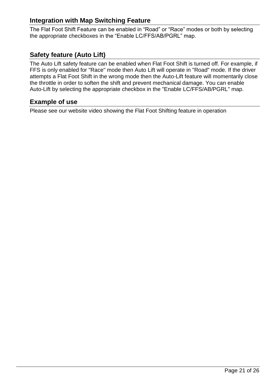#### <span id="page-20-0"></span>**Integration with Map Switching Feature**

The Flat Foot Shift Feature can be enabled in "Road" or "Race" modes or both by selecting the appropriate checkboxes in the "Enable LC/FFS/AB/PGRL" map.

#### <span id="page-20-1"></span>**Safety feature (Auto Lift)**

The Auto Lift safety feature can be enabled when Flat Foot Shift is turned off. For example, if FFS is only enabled for "Race" mode then Auto Lift will operate in "Road" mode. If the driver attempts a Flat Foot Shift in the wrong mode then the Auto-Lift feature will momentarily close the throttle in order to soften the shift and prevent mechanical damage. You can enable Auto-Lift by selecting the appropriate checkbox in the "Enable LC/FFS/AB/PGRL" map.

#### <span id="page-20-2"></span>**Example of use**

Please see our website video showing the Flat Foot Shifting feature in operation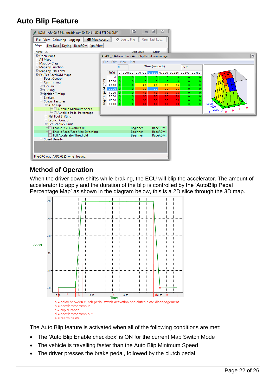## <span id="page-21-0"></span>**Auto Blip Feature**

| ROM - AR490_3341-enc.bin (ar490 3341 - JDM STI 2010MY)              |                                                | <b>IID</b><br>$\Box$       | $\Box$<br>$\Sigma$ |                                               |                       |  |  |  |  |  |
|---------------------------------------------------------------------|------------------------------------------------|----------------------------|--------------------|-----------------------------------------------|-----------------------|--|--|--|--|--|
| Map Access<br>File View Colouring Logging                           | C Log to File                                  |                            | Open Last Log      |                                               |                       |  |  |  |  |  |
| <b>Maps</b><br>Live Data   Keying   RaceROM   Ign. View             |                                                |                            |                    |                                               |                       |  |  |  |  |  |
| Name $\triangle$                                                    |                                                | User Level                 | Origin             |                                               |                       |  |  |  |  |  |
| <b>中Open Maps</b>                                                   | AR490 3341-enc.bin - AutoBlip Pedal Percentage |                            |                    |                                               | $\mathbbmss{z}$       |  |  |  |  |  |
| 中 All Maps<br>中 Maps by Class                                       | Edit View Plot<br>File                         |                            |                    |                                               |                       |  |  |  |  |  |
| 电 Maps by Function                                                  | 0                                              |                            | Time (seconds)     | 35 %                                          |                       |  |  |  |  |  |
| 电 Maps by User Level                                                | 3000                                           |                            |                    | 0 0.0500 0.0700 0.150 0.200 0.280 0.300 0.350 |                       |  |  |  |  |  |
| E-EcuTek RaceROM Maps                                               | $\circ$<br>٥                                   | ۰<br>0.                    | o.<br>0            | ۰<br>0<br>0.                                  |                       |  |  |  |  |  |
| <sup>E</sup> -Boost Control<br><b>中Cam Timing</b>                   | 2000<br>$\circ$                                | o.<br>o                    | $\circ$<br>$\circ$ | $\circ$<br>$\circ$<br>٥                       |                       |  |  |  |  |  |
| <b>E</b> -Flex Fuel                                                 | Engine Speed (rpm)<br>2500<br>$\circ$          | 25<br>$\circ$              | 25<br>25           | 25<br>$\circ$<br>n.                           |                       |  |  |  |  |  |
| <b>中Fuelling</b>                                                    | 3000<br>l ol<br>4000                           | $\bullet$<br>35<br>$\circ$ | 35<br>35<br>45     | $\circ$<br>35<br>o.<br>$\circ$<br>45          |                       |  |  |  |  |  |
| <b>□ Ignition Timing</b>                                            | $\circ$<br>5000<br>$\circ$                     | 45<br>$\mathsf{o}$<br>50   | 45<br>50<br>50     | Ō.<br>50<br>$\bullet$<br>$\circ$              |                       |  |  |  |  |  |
| <b>E</b> -Limiters<br><b>Special Features</b>                       | 6000<br>$\circ$                                | 50<br>o                    | 50<br>50           | 50<br>$\circ$<br>0                            |                       |  |  |  |  |  |
| Auto Blip                                                           | 7000<br>$\circ$                                | o.<br>50                   | 50<br>50           | 50<br>o.<br>$\sigma$                          | 6000<br>4000          |  |  |  |  |  |
| AutoBlip Minimum Speed                                              |                                                |                            |                    |                                               | 2000<br>$\Omega$<br>v |  |  |  |  |  |
| AutoBlip Pedal Percentage                                           |                                                |                            |                    |                                               |                       |  |  |  |  |  |
| <b>E-Flat Foot Shifting</b><br>E-Launch Control                     |                                                |                            |                    |                                               |                       |  |  |  |  |  |
| E-Per Gear Rev Limit                                                |                                                |                            |                    |                                               |                       |  |  |  |  |  |
| Enable LC/FFS/AB/PGRL                                               |                                                | Beginner                   | RaceROM            |                                               |                       |  |  |  |  |  |
| Enable Road/Race Map Switching<br><b>Full Accelerator Threshold</b> |                                                | Beginner                   | RaceROM<br>RaceROM |                                               |                       |  |  |  |  |  |
| <b>E-Speed Density</b>                                              |                                                | Beginner                   |                    |                                               |                       |  |  |  |  |  |
|                                                                     |                                                |                            |                    |                                               |                       |  |  |  |  |  |
|                                                                     |                                                |                            |                    |                                               |                       |  |  |  |  |  |
|                                                                     |                                                |                            |                    |                                               |                       |  |  |  |  |  |
| File CRC was 'AFD2 62B5' when loaded.                               |                                                |                            |                    |                                               |                       |  |  |  |  |  |

#### <span id="page-21-1"></span>**Method of Operation**

When the driver down-shifts while braking, the ECU will blip the accelerator. The amount of accelerator to apply and the duration of the blip is controlled by the 'AutoBlip Pedal Percentage Map' as shown in the diagram below, this is a 2D slice through the 3D map.



The Auto Blip feature is activated when all of the following conditions are met:

- The 'Auto Blip Enable checkbox' is ON for the current Map Switch Mode
- The vehicle is travelling faster than the Auto Blip Minimum Speed
- The driver presses the brake pedal, followed by the clutch pedal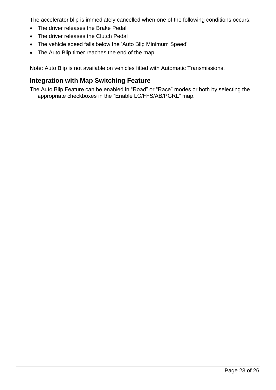The accelerator blip is immediately cancelled when one of the following conditions occurs:

- The driver releases the Brake Pedal
- The driver releases the Clutch Pedal
- The vehicle speed falls below the 'Auto Blip Minimum Speed'
- The Auto Blip timer reaches the end of the map

Note: Auto Blip is not available on vehicles fitted with Automatic Transmissions.

#### <span id="page-22-0"></span>**Integration with Map Switching Feature**

The Auto Blip Feature can be enabled in "Road" or "Race" modes or both by selecting the appropriate checkboxes in the "Enable LC/FFS/AB/PGRL" map.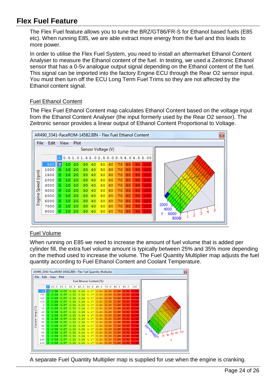## <span id="page-23-0"></span>**Flex Fuel Feature**

The Flex Fuel feature allows you to tune the BRZ/GT86/FR-S for Ethanol based fuels (E85 etc). When running E85, we are able extract more energy from the fuel and this leads to more power.

In order to utilise the Flex Fuel System, you need to install an aftermarket Ethanol Content Analyser to measure the Ethanol content of the fuel. In testing, we used a Zeitronic Ethanol sensor that has a 0-5v analogue output signal depending on the Ethanol content of the fuel. This signal can be imported into the factory Engine ECU through the Rear O2 sensor input. You must then turn off the ECU Long Term Fuel Trims so they are not affected by the Ethanol content signal.

#### Fuel Ethanol Content

The Flex Fuel Ethanol Content map calculates Ethanol Content based on the voltage input from the Ethanol Content Analyser (the input formerly used by the Rear O2 sensor). The Zeitronic sensor provides a linear output of Ethanol Content Proportional to Voltage.



#### Fuel Volume

When running on E85 we need to increase the amount of fuel volume that is added per cylinder fill, the extra fuel volume amount is typically between 25% and 35% more depending on the method used to increase the volume. The Fuel Quantity Multiplier map adjusts the fuel quantity according to Fuel Ethanol Content and Coolant Temperature.



A separate Fuel Quantity Multiplier map is supplied for use when the engine is cranking.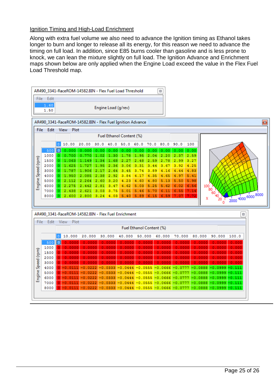#### Ignition Timing and High-Load Enrichment

Along with extra fuel volume we also need to advance the Ignition timing as Ethanol takes longer to burn and longer to release all its energy, for this reason we need to advance the timing on full load. In addition, since E85 burns cooler than gasoline and is less prone to knock, we can lean the mixture slightly on full load. The Ignition Advance and Enrichment maps shown below are only applied when the Engine Load exceed the value in the Flex Fuel Load Threshold map.

![](_page_24_Figure_2.jpeg)

X

20  $\Omega$ 

| AR490 3341-RaceROM-14582.BIN - Flex Fuel Enrichment<br>23 |      |                          |           |           |           |           |                                      |           |           |                                                                                                    |                            |          |
|-----------------------------------------------------------|------|--------------------------|-----------|-----------|-----------|-----------|--------------------------------------|-----------|-----------|----------------------------------------------------------------------------------------------------|----------------------------|----------|
| Edit<br><b>View</b><br>File<br>Plot                       |      |                          |           |           |           |           |                                      |           |           |                                                                                                    |                            |          |
|                                                           |      | Fuel Ethanol Content (%) |           |           |           |           |                                      |           |           |                                                                                                    |                            |          |
|                                                           |      |                          | 10.000    | 20.000    | 30.000    | 40.000    | 50.000                               | 60.000    | 70.000    | 80.000                                                                                             | 90.000                     | 100.0    |
| (rpm)<br>Speed<br>ngine<br>ш                              | 500  | ll oll                   | 0.0000    | 0.0000    | 0.0000    | 0.0000    | 0.0000                               | 0.0000    | 0.0000    | 0.0000                                                                                             | 0.0000                     | 0.000    |
|                                                           | 1000 |                          | 0.0000    | 0.0000    | 0.0000    | 0.0000    | 0.0000                               | 0.0000    | 0.0000    | 0.0000                                                                                             | 0.0000                     | 0.000    |
|                                                           | 1500 |                          | 0.0000    | 0.0000    | 0.0000    | 0.0000    | 0.0000                               | 0.0000    | 0.0000    | 0.0000                                                                                             | 0.0000                     | 0.000    |
|                                                           | 2000 |                          | 0.0000    | 0.0000    | 0.0000    | 0.0000    | 0.0000                               | 0.0000    | 0.0000    | 0.0000                                                                                             | 0.0000                     | 0.000    |
|                                                           | 3000 | $\mathbf 0$              | 0.0000    | 0.0000    | 0.0000    | 0.0000    | 0.0000                               | 0.0000    | 0.0000    | 0.0000                                                                                             | 0.0000                     | 0.000    |
|                                                           | 4000 | O.                       | $-0.0111$ | $-0.0222$ | $-0.0333$ | $-0.0444$ | $-0.0555$                            | $-0.0666$ | $-0.0777$ | $-0.0888$                                                                                          | -0.0999                    | $-0.111$ |
|                                                           | 5000 | 0                        | $-0.0111$ | $-0.0222$ | $-0.0333$ | $-0.0444$ | $-0.0555$                            | $-0.0666$ | $-0.0777$ | $-0.0888$                                                                                          | $-0.0999$                  | $-0.111$ |
|                                                           | 6000 | 0                        | $-0.0111$ | $-0.0222$ | $-0.0333$ | $-0.0444$ | $-0.0555$                            | $-0.0666$ | $-0.0777$ | $-0.0888$                                                                                          | $-0.0999 - 0.111$          |          |
|                                                           | 7000 | $\mathbf 0$              | $-0.0111$ | $-0.0222$ | $-0.0333$ |           | $-0.0444 - 0.0555 - 0.0666 - 0.0777$ |           |           |                                                                                                    | $-0.0888 - 0.0999 - 0.111$ |          |
|                                                           | 8000 | οI                       |           |           |           |           |                                      |           |           | $-0.0111$ $-0.0222$ $-0.0333$ $-0.0444$ $-0.0555$ $-0.0666$ $-0.0777$ $-0.0888$ $-0.0999$ $-0.111$ |                            |          |
|                                                           |      |                          |           |           |           |           |                                      |           |           |                                                                                                    |                            |          |